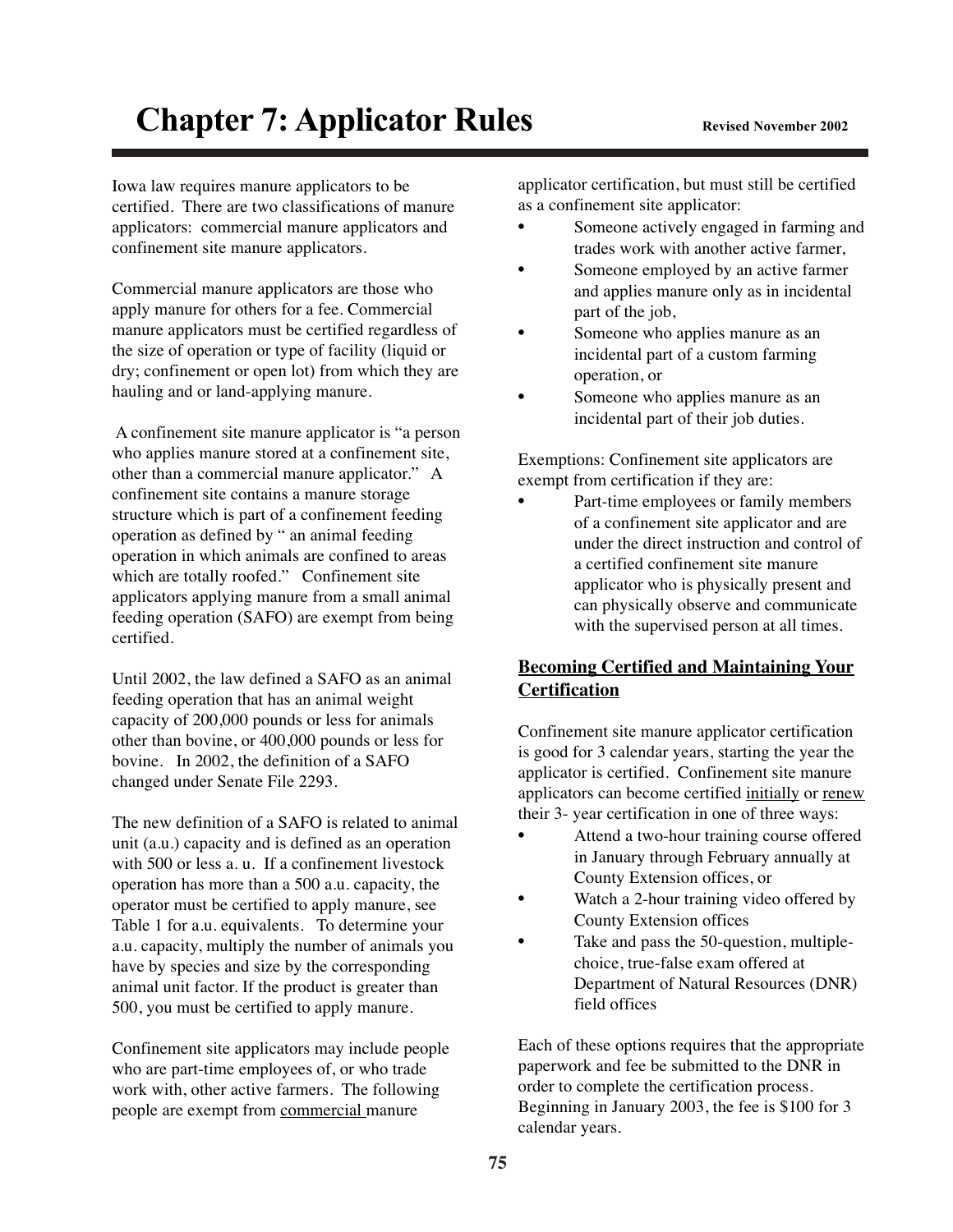# **Chapter 7: Applicator Rules** Revised November 2002

Iowa law requires manure applicators to be certified. There are two classifications of manure applicators: commercial manure applicators and confinement site manure applicators.

Commercial manure applicators are those who apply manure for others for a fee. Commercial manure applicators must be certified regardless of the size of operation or type of facility (liquid or dry; confinement or open lot) from which they are hauling and or land-applying manure.

A confinement site manure applicator is "a person who applies manure stored at a confinement site, other than a commercial manure applicator." A confinement site contains a manure storage structure which is part of a confinement feeding operation as defined by " an animal feeding operation in which animals are confined to areas which are totally roofed." Confinement site applicators applying manure from a small animal feeding operation (SAFO) are exempt from being certified.

Until 2002, the law defined a SAFO as an animal feeding operation that has an animal weight capacity of 200,000 pounds or less for animals other than bovine, or 400,000 pounds or less for bovine. In 2002, the definition of a SAFO changed under Senate File 2293.

The new definition of a SAFO is related to animal unit (a.u.) capacity and is defined as an operation with 500 or less a. u. If a confinement livestock operation has more than a 500 a.u. capacity, the operator must be certified to apply manure, see Table 1 for a.u. equivalents. To determine your a.u. capacity, multiply the number of animals you have by species and size by the corresponding animal unit factor. If the product is greater than 500, you must be certified to apply manure.

Confinement site applicators may include people who are part-time employees of, or who trade work with, other active farmers. The following people are exempt from commercial manure

applicator certification, but must still be certified as a confinement site applicator:

- Someone actively engaged in farming and trades work with another active farmer,
- Someone employed by an active farmer and applies manure only as in incidental part of the job,
- Someone who applies manure as an incidental part of a custom farming operation, or
- Someone who applies manure as an incidental part of their job duties.

Exemptions: Confinement site applicators are exempt from certification if they are:

Part-time employees or family members of a confinement site applicator and are under the direct instruction and control of a certified confinement site manure applicator who is physically present and can physically observe and communicate with the supervised person at all times.

# **Becoming Certified and Maintaining Your Certification**

Confinement site manure applicator certification is good for 3 calendar years, starting the year the applicator is certified. Confinement site manure applicators can become certified initially or renew their 3- year certification in one of three ways:

- Attend a two-hour training course offered in January through February annually at County Extension offices, or
- Watch a 2-hour training video offered by County Extension offices
- Take and pass the 50-question, multiplechoice, true-false exam offered at Department of Natural Resources (DNR) field offices

Each of these options requires that the appropriate paperwork and fee be submitted to the DNR in order to complete the certification process. Beginning in January 2003, the fee is \$100 for 3 calendar years.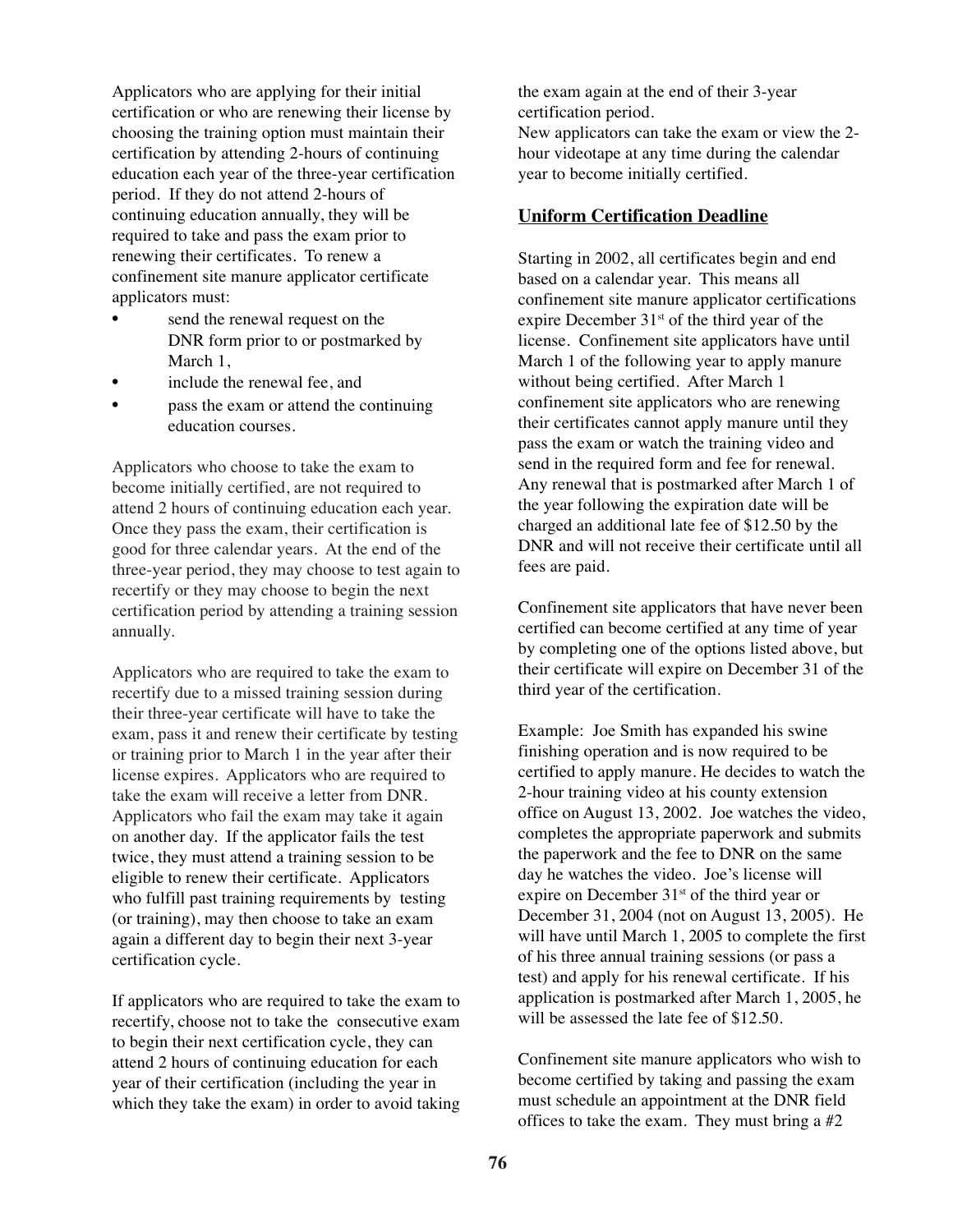Applicators who are applying for their initial certification or who are renewing their license by choosing the training option must maintain their certification by attending 2-hours of continuing education each year of the three-year certification period. If they do not attend 2-hours of continuing education annually, they will be required to take and pass the exam prior to renewing their certificates. To renew a confinement site manure applicator certificate applicators must:

- send the renewal request on the DNR form prior to or postmarked by March 1.
- include the renewal fee, and
- pass the exam or attend the continuing education courses.

Applicators who choose to take the exam to become initially certified, are not required to attend 2 hours of continuing education each year. Once they pass the exam, their certification is good for three calendar years. At the end of the three-year period, they may choose to test again to recertify or they may choose to begin the next certification period by attending a training session annually.

Applicators who are required to take the exam to recertify due to a missed training session during their three-year certificate will have to take the exam, pass it and renew their certificate by testing or training prior to March 1 in the year after their license expires. Applicators who are required to take the exam will receive a letter from DNR. Applicators who fail the exam may take it again on another day. If the applicator fails the test twice, they must attend a training session to be eligible to renew their certificate. Applicators who fulfill past training requirements by testing (or training), may then choose to take an exam again a different day to begin their next 3-year certification cycle.

If applicators who are required to take the exam to recertify, choose not to take the consecutive exam to begin their next certification cycle, they can attend 2 hours of continuing education for each year of their certification (including the year in which they take the exam) in order to avoid taking the exam again at the end of their 3-year certification period. New applicators can take the exam or view the 2 hour videotape at any time during the calendar year to become initially certified.

### **Uniform Certification Deadline**

Starting in 2002, all certificates begin and end based on a calendar year. This means all confinement site manure applicator certifications expire December 31<sup>st</sup> of the third year of the license. Confinement site applicators have until March 1 of the following year to apply manure without being certified. After March 1 confinement site applicators who are renewing their certificates cannot apply manure until they pass the exam or watch the training video and send in the required form and fee for renewal. Any renewal that is postmarked after March 1 of the year following the expiration date will be charged an additional late fee of \$12.50 by the DNR and will not receive their certificate until all fees are paid.

Confinement site applicators that have never been certified can become certified at any time of year by completing one of the options listed above, but their certificate will expire on December 31 of the third year of the certification.

Example: Joe Smith has expanded his swine finishing operation and is now required to be certified to apply manure. He decides to watch the 2-hour training video at his county extension office on August 13, 2002. Joe watches the video, completes the appropriate paperwork and submits the paperwork and the fee to DNR on the same day he watches the video. Joe's license will expire on December 31<sup>st</sup> of the third year or December 31, 2004 (not on August 13, 2005). He will have until March 1, 2005 to complete the first of his three annual training sessions (or pass a test) and apply for his renewal certificate. If his application is postmarked after March 1, 2005, he will be assessed the late fee of \$12.50.

Confinement site manure applicators who wish to become certified by taking and passing the exam must schedule an appointment at the DNR field offices to take the exam. They must bring a #2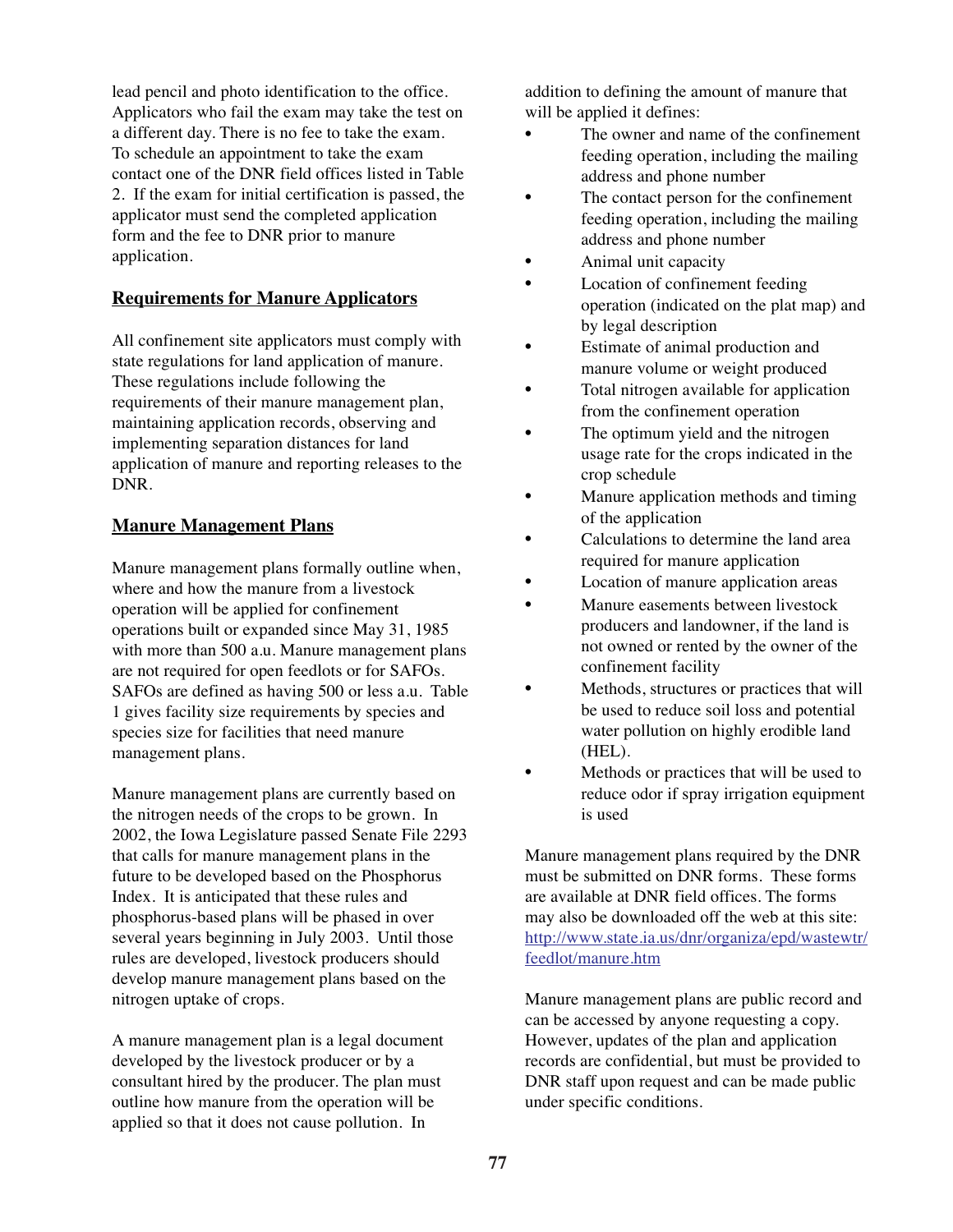lead pencil and photo identification to the office. Applicators who fail the exam may take the test on a different day. There is no fee to take the exam. To schedule an appointment to take the exam contact one of the DNR field offices listed in Table 2. If the exam for initial certification is passed, the applicator must send the completed application form and the fee to DNR prior to manure application.

# **Requirements for Manure Applicators**

All confinement site applicators must comply with state regulations for land application of manure. These regulations include following the requirements of their manure management plan, maintaining application records, observing and implementing separation distances for land application of manure and reporting releases to the DNR.

#### **Manure Management Plans**

Manure management plans formally outline when, where and how the manure from a livestock operation will be applied for confinement operations built or expanded since May 31, 1985 with more than 500 a.u. Manure management plans are not required for open feedlots or for SAFOs. SAFOs are defined as having 500 or less a.u. Table 1 gives facility size requirements by species and species size for facilities that need manure management plans.

Manure management plans are currently based on the nitrogen needs of the crops to be grown. In 2002, the Iowa Legislature passed Senate File 2293 that calls for manure management plans in the future to be developed based on the Phosphorus Index. It is anticipated that these rules and phosphorus-based plans will be phased in over several years beginning in July 2003. Until those rules are developed, livestock producers should develop manure management plans based on the nitrogen uptake of crops.

A manure management plan is a legal document developed by the livestock producer or by a consultant hired by the producer. The plan must outline how manure from the operation will be applied so that it does not cause pollution. In

addition to defining the amount of manure that will be applied it defines:

- The owner and name of the confinement feeding operation, including the mailing address and phone number
- The contact person for the confinement feeding operation, including the mailing address and phone number
- Animal unit capacity
- Location of confinement feeding operation (indicated on the plat map) and by legal description
- Estimate of animal production and manure volume or weight produced
- Total nitrogen available for application from the confinement operation
- The optimum yield and the nitrogen usage rate for the crops indicated in the crop schedule
- Manure application methods and timing of the application
- Calculations to determine the land area required for manure application
- Location of manure application areas
- Manure easements between livestock producers and landowner, if the land is not owned or rented by the owner of the confinement facility
- Methods, structures or practices that will be used to reduce soil loss and potential water pollution on highly erodible land (HEL).
- Methods or practices that will be used to reduce odor if spray irrigation equipment is used

Manure management plans required by the DNR must be submitted on DNR forms. These forms are available at DNR field offices. The forms may also be downloaded off the web at this site: http://www.state.ia.us/dnr/organiza/epd/wastewtr/ feedlot/manure.htm

Manure management plans are public record and can be accessed by anyone requesting a copy. However, updates of the plan and application records are confidential, but must be provided to DNR staff upon request and can be made public under specific conditions.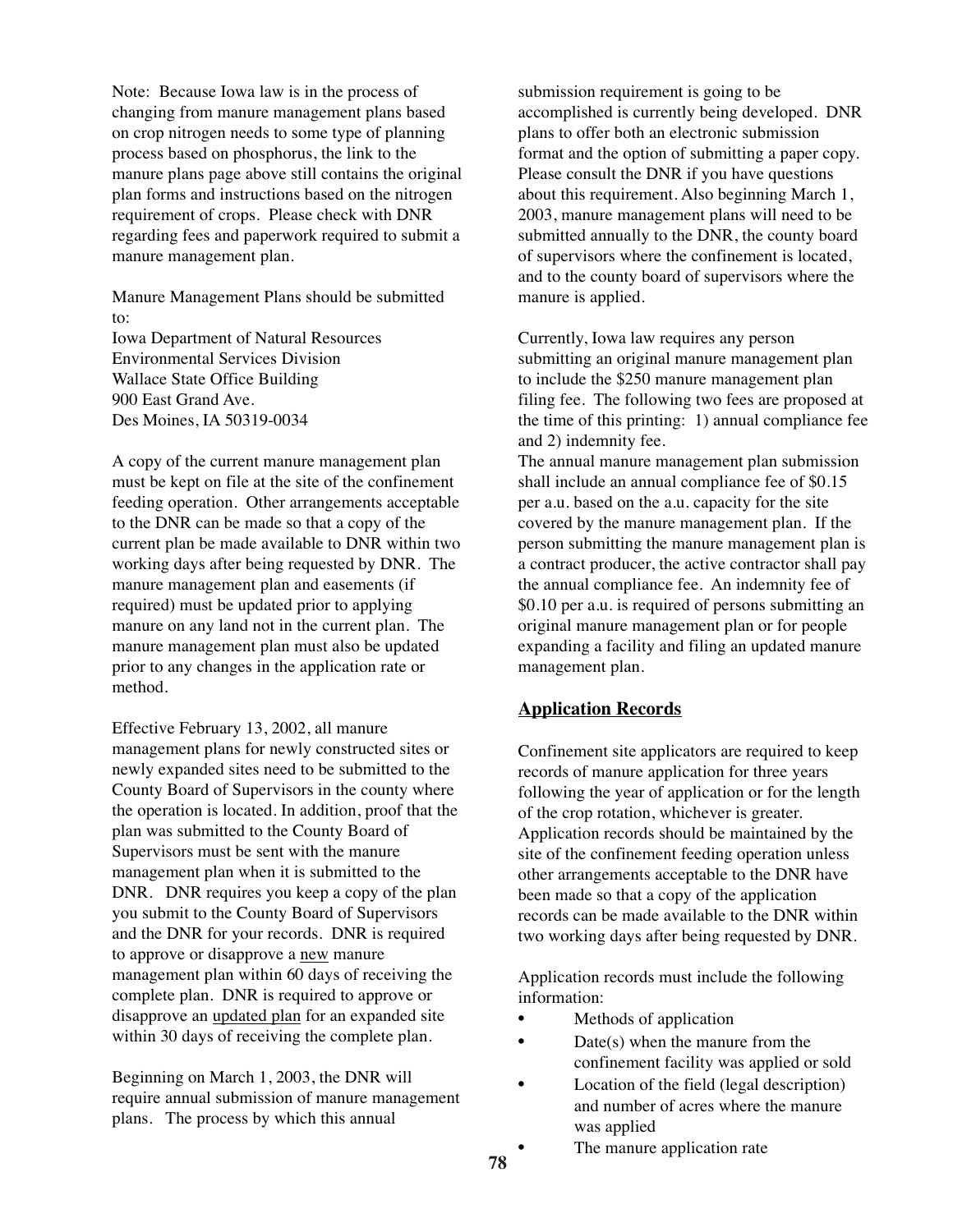Note: Because Iowa law is in the process of changing from manure management plans based on crop nitrogen needs to some type of planning process based on phosphorus, the link to the manure plans page above still contains the original plan forms and instructions based on the nitrogen requirement of crops. Please check with DNR regarding fees and paperwork required to submit a manure management plan.

Manure Management Plans should be submitted to:

Iowa Department of Natural Resources Environmental Services Division Wallace State Office Building 900 East Grand Ave. Des Moines, IA 50319-0034

A copy of the current manure management plan must be kept on file at the site of the confinement feeding operation. Other arrangements acceptable to the DNR can be made so that a copy of the current plan be made available to DNR within two working days after being requested by DNR. The manure management plan and easements (if required) must be updated prior to applying manure on any land not in the current plan. The manure management plan must also be updated prior to any changes in the application rate or method.

Effective February 13, 2002, all manure management plans for newly constructed sites or newly expanded sites need to be submitted to the County Board of Supervisors in the county where the operation is located. In addition, proof that the plan was submitted to the County Board of Supervisors must be sent with the manure management plan when it is submitted to the DNR. DNR requires you keep a copy of the plan you submit to the County Board of Supervisors and the DNR for your records. DNR is required to approve or disapprove a new manure management plan within 60 days of receiving the complete plan. DNR is required to approve or disapprove an updated plan for an expanded site within 30 days of receiving the complete plan.

Beginning on March 1, 2003, the DNR will require annual submission of manure management plans. The process by which this annual

submission requirement is going to be accomplished is currently being developed. DNR plans to offer both an electronic submission format and the option of submitting a paper copy. Please consult the DNR if you have questions about this requirement. Also beginning March 1, 2003, manure management plans will need to be submitted annually to the DNR, the county board of supervisors where the confinement is located, and to the county board of supervisors where the manure is applied.

Currently, Iowa law requires any person submitting an original manure management plan to include the \$250 manure management plan filing fee. The following two fees are proposed at the time of this printing: 1) annual compliance fee and 2) indemnity fee.

The annual manure management plan submission shall include an annual compliance fee of \$0.15 per a.u. based on the a.u. capacity for the site covered by the manure management plan. If the person submitting the manure management plan is a contract producer, the active contractor shall pay the annual compliance fee. An indemnity fee of \$0.10 per a.u. is required of persons submitting an original manure management plan or for people expanding a facility and filing an updated manure management plan.

#### **Application Records**

Confinement site applicators are required to keep records of manure application for three years following the year of application or for the length of the crop rotation, whichever is greater. Application records should be maintained by the site of the confinement feeding operation unless other arrangements acceptable to the DNR have been made so that a copy of the application records can be made available to the DNR within two working days after being requested by DNR.

Application records must include the following information:

- Methods of application
- Date(s) when the manure from the confinement facility was applied or sold
- Location of the field (legal description) and number of acres where the manure was applied
- The manure application rate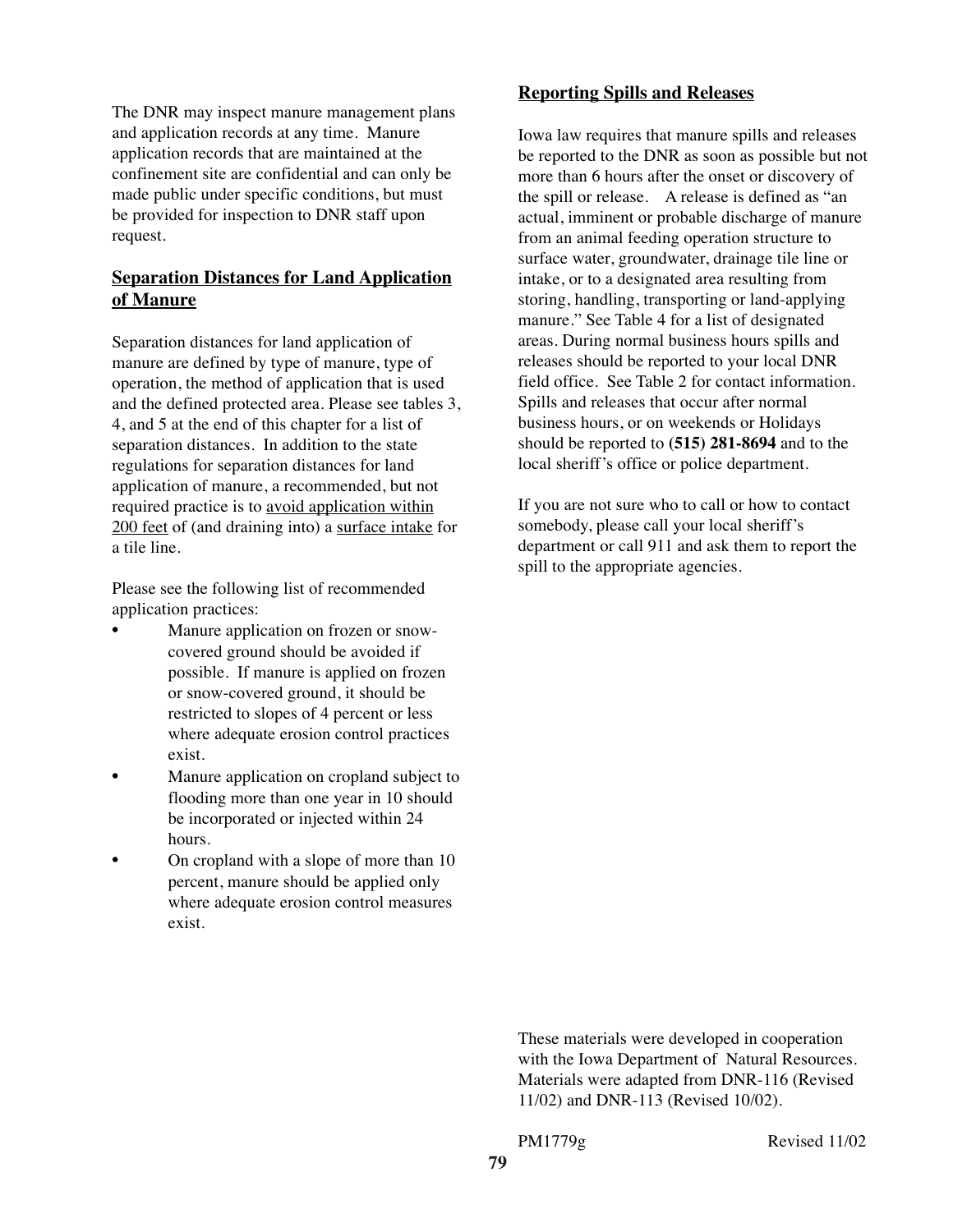The DNR may inspect manure management plans and application records at any time. Manure application records that are maintained at the confinement site are confidential and can only be made public under specific conditions, but must be provided for inspection to DNR staff upon request.

# **Separation Distances for Land Application of Manure**

Separation distances for land application of manure are defined by type of manure, type of operation, the method of application that is used and the defined protected area. Please see tables 3, 4, and 5 at the end of this chapter for a list of separation distances. In addition to the state regulations for separation distances for land application of manure, a recommended, but not required practice is to avoid application within 200 feet of (and draining into) a surface intake for a tile line.

Please see the following list of recommended application practices:

- Manure application on frozen or snowcovered ground should be avoided if possible. If manure is applied on frozen or snow-covered ground, it should be restricted to slopes of 4 percent or less where adequate erosion control practices exist.
- Manure application on cropland subject to flooding more than one year in 10 should be incorporated or injected within 24 hours.
- On cropland with a slope of more than 10 percent, manure should be applied only where adequate erosion control measures exist.

# **Reporting Spills and Releases**

Iowa law requires that manure spills and releases be reported to the DNR as soon as possible but not more than 6 hours after the onset or discovery of the spill or release. A release is defined as "an actual, imminent or probable discharge of manure from an animal feeding operation structure to surface water, groundwater, drainage tile line or intake, or to a designated area resulting from storing, handling, transporting or land-applying manure." See Table 4 for a list of designated areas. During normal business hours spills and releases should be reported to your local DNR field office. See Table 2 for contact information. Spills and releases that occur after normal business hours, or on weekends or Holidays should be reported to **(515) 281-8694** and to the local sheriff's office or police department.

If you are not sure who to call or how to contact somebody, please call your local sheriff's department or call 911 and ask them to report the spill to the appropriate agencies.

These materials were developed in cooperation with the Iowa Department of Natural Resources. Materials were adapted from DNR-116 (Revised 11/02) and DNR-113 (Revised 10/02).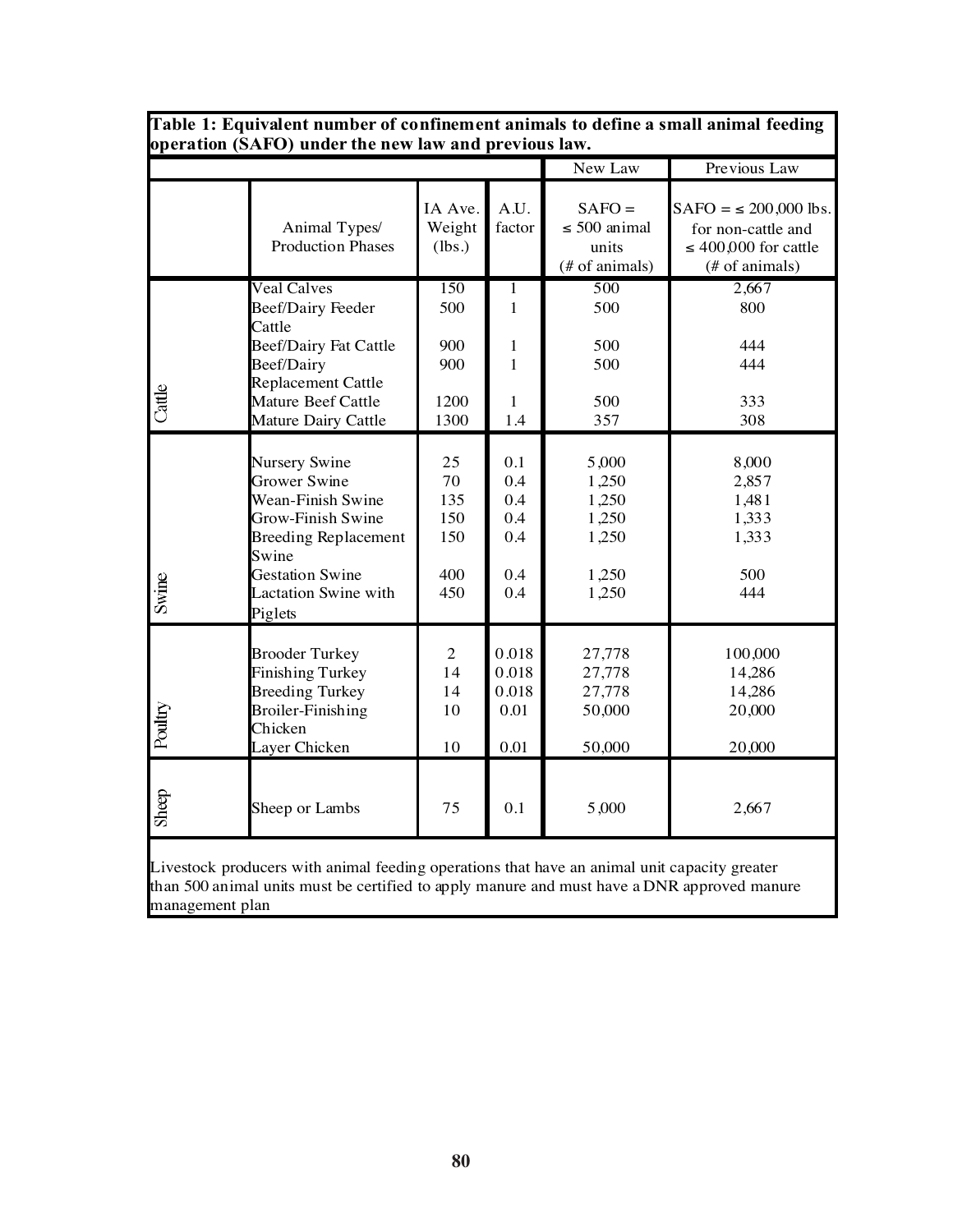| operation (SAFO) under the new law and previous law. |                                                                                                                                                                                     |                                             |                                                     |                                                             |                                                                                                |  |
|------------------------------------------------------|-------------------------------------------------------------------------------------------------------------------------------------------------------------------------------------|---------------------------------------------|-----------------------------------------------------|-------------------------------------------------------------|------------------------------------------------------------------------------------------------|--|
|                                                      |                                                                                                                                                                                     |                                             |                                                     | New Law<br>Previous Law                                     |                                                                                                |  |
|                                                      | Animal Types/<br><b>Production Phases</b>                                                                                                                                           | IA Ave.<br>Weight<br>(lbs.)                 | A.U.<br>factor                                      | $SAFO =$<br>$\leq$ 500 animal<br>units<br>(# of animals)    | $SAFO = \le 200,000$ lbs.<br>for non-cattle and<br>$\leq 400,000$ for cattle<br>(# of animals) |  |
|                                                      | <b>Veal Calves</b><br><b>Beef/Dairy Feeder</b><br>Cattle                                                                                                                            | 150<br>500                                  | 1<br>$\mathbf{1}$                                   | 500<br>500                                                  | 2,667<br>800                                                                                   |  |
| Cattle                                               | <b>Beef/Dairy Fat Cattle</b><br>Beef/Dairy<br><b>Replacement Cattle</b><br>Mature Beef Cattle<br>Mature Dairy Cattle                                                                | 900<br>900<br>1200<br>1300                  | $\mathbf{1}$<br>$\mathbf{1}$<br>$\mathbf{1}$<br>1.4 | 500<br>500<br>500<br>357                                    | 444<br>444<br>333<br>308                                                                       |  |
| Swine                                                | Nursery Swine<br><b>Grower Swine</b><br>Wean-Finish Swine<br>Grow-Finish Swine<br><b>Breeding Replacement</b><br>Swine<br><b>Gestation Swine</b><br>Lactation Swine with<br>Piglets | 25<br>70<br>135<br>150<br>150<br>400<br>450 | 0.1<br>0.4<br>0.4<br>0.4<br>0.4<br>0.4<br>0.4       | 5,000<br>1,250<br>1,250<br>1,250<br>1,250<br>1,250<br>1,250 | 8,000<br>2,857<br>1,481<br>1,333<br>1,333<br>500<br>444                                        |  |
| Poultry                                              | <b>Brooder Turkey</b><br><b>Finishing Turkey</b><br><b>Breeding Turkey</b><br><b>Broiler-Finishing</b><br>Chicken<br>Layer Chicken                                                  | $\overline{2}$<br>14<br>14<br>10<br>10      | 0.018<br>0.018<br>0.018<br>0.01<br>0.01             | 27,778<br>27,778<br>27,778<br>50,000<br>50,000              | 100,000<br>14,286<br>14,286<br>20,000<br>20,000                                                |  |
| Sheep                                                | Sheep or Lambs                                                                                                                                                                      | 75                                          | 0.1                                                 | 5,000                                                       | 2,667                                                                                          |  |
|                                                      |                                                                                                                                                                                     |                                             |                                                     |                                                             |                                                                                                |  |

**Table 1: Equivalent number of confinement animals to define a small animal feeding operation (SAFO) under the new law and previous law.**

Livestock producers with animal feeding operations that have an animal unit capacity greater than 500 animal units must be certified to apply manure and must have a DNR approved manure management plan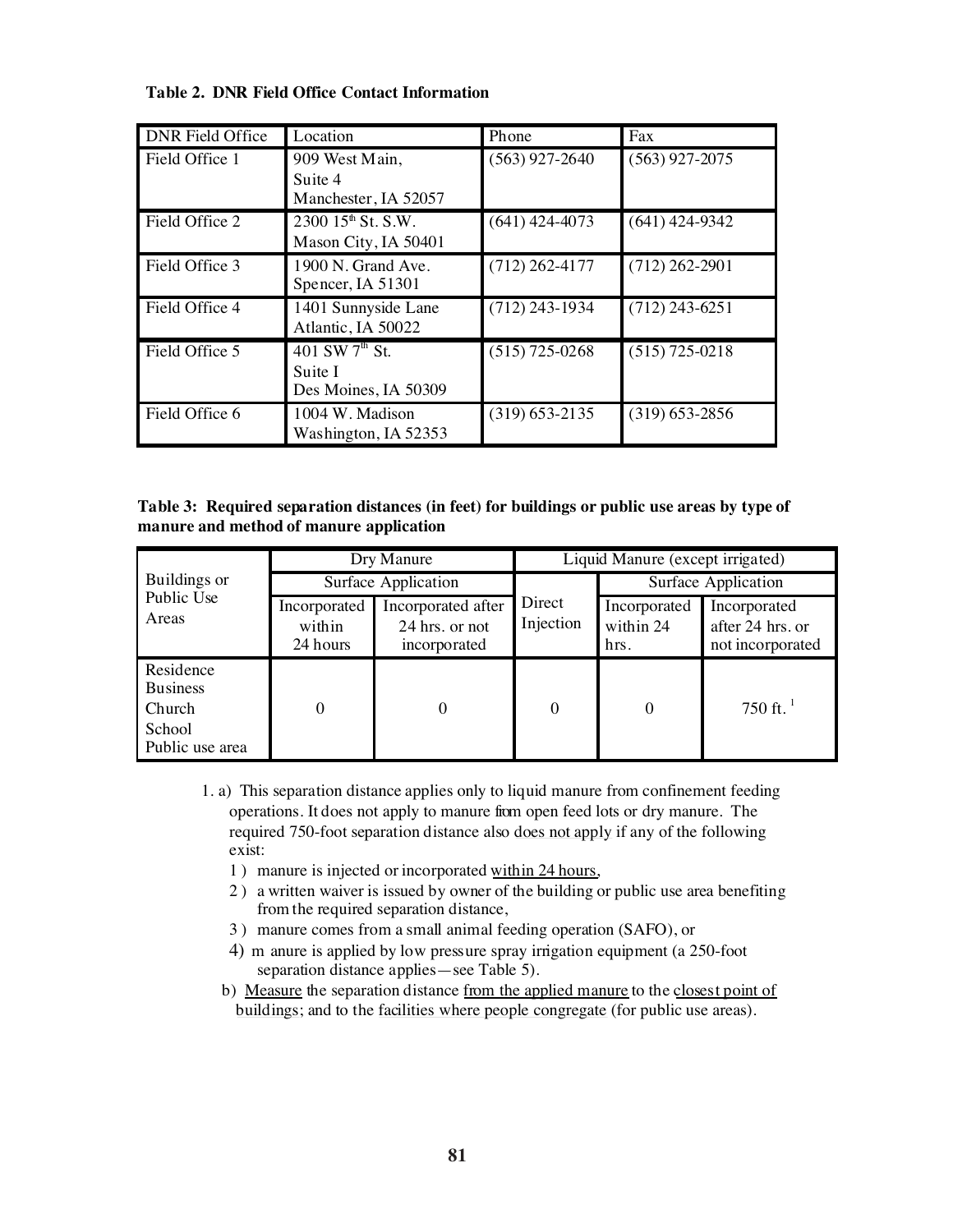#### **Table 2. DNR Field Office Contact Information**

| <b>DNR</b> Field Office | Location                                                      | Phone              | Fax              |
|-------------------------|---------------------------------------------------------------|--------------------|------------------|
| Field Office 1          | 909 West Main,<br>Suite 4<br>Manchester, IA 52057             | $(563)$ 927-2640   | $(563)$ 927-2075 |
| Field Office 2          | $2300$ $15^{\text{th}}$ St. S.W.<br>Mason City, IA 50401      | $(641)$ 424-4073   | $(641)$ 424-9342 |
| Field Office 3          | 1900 N. Grand Ave.<br>Spencer, IA 51301                       | $(712)$ 262-4177   | $(712)$ 262-2901 |
| Field Office 4          | 1401 Sunnyside Lane<br>Atlantic, IA 50022                     | $(712)$ 243-1934   | $(712)$ 243-6251 |
| Field Office 5          | 401 SW $7^{\text{th}}$ St.<br>Suite I<br>Des Moines, IA 50309 | $(515)$ 725-0268   | $(515)$ 725-0218 |
| Field Office 6          | 1004 W. Madison<br>Washington, IA 52353                       | $(319) 653 - 2135$ | $(319)$ 653-2856 |

| Table 3: Required separation distances (in feet) for buildings or public use areas by type of |  |  |
|-----------------------------------------------------------------------------------------------|--|--|
| manure and method of manure application                                                       |  |  |

|                                                                     | Dry Manure                         |                                                      | Liquid Manure (except irrigated) |                                   |                                                      |  |
|---------------------------------------------------------------------|------------------------------------|------------------------------------------------------|----------------------------------|-----------------------------------|------------------------------------------------------|--|
| Buildings or                                                        | Surface Application                |                                                      |                                  | Surface Application               |                                                      |  |
| Public Use<br>Areas                                                 | Incorporated<br>within<br>24 hours | Incorporated after<br>24 hrs. or not<br>incorporated | Direct<br>Injection              | Incorporated<br>within 24<br>hrs. | Incorporated<br>after 24 hrs. or<br>not incorporated |  |
| Residence<br><b>Business</b><br>Church<br>School<br>Public use area | 0                                  | 0                                                    | 0                                | 0                                 | 750 ft. $1$                                          |  |

- 1. a) This separation distance applies only to liquid manure from confinement feeding operations. It does not apply to manure from open feed lots or dry manure. The required 750-foot separation distance also does not apply if any of the following exist:
	- 1 ) manure is injected or incorporated within 24 hours,
	- 2 ) a written waiver is issued by owner of the building or public use area benefiting from the required separation distance,
	- 3 ) manure comes from a small animal feeding operation (SAFO), or
	- 4) m anure is applied by low pressure spray irrigation equipment (a 250-foot separation distance applies—see Table 5).
	- b) Measure the separation distance from the applied manure to the closest point of buildings; and to the <u>facilities where people congregate</u> (for public use areas).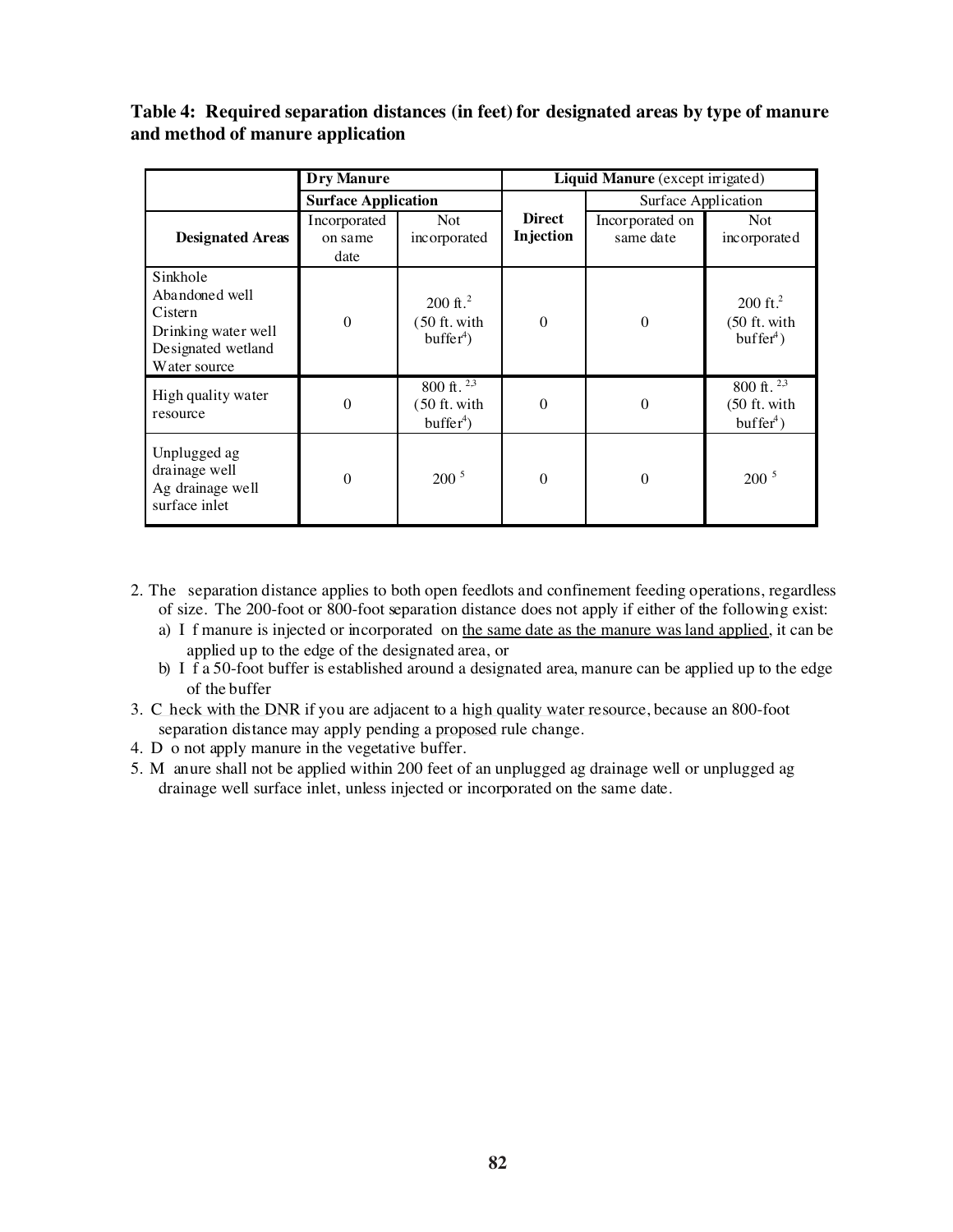# **Table 4: Required separation distances (in feet) for designated areas by type of manure and method of manure application**

|                                                                                                    | <b>Dry Manure</b>               |                                                      | Liquid Manure (except irrigated) |                              |                                                        |
|----------------------------------------------------------------------------------------------------|---------------------------------|------------------------------------------------------|----------------------------------|------------------------------|--------------------------------------------------------|
|                                                                                                    | <b>Surface Application</b>      |                                                      |                                  | Surface Application          |                                                        |
| <b>Designated Areas</b>                                                                            | Incorporated<br>on same<br>date | <b>Not</b><br>incorporated                           | <b>Direct</b><br>Injection       | Incorporated on<br>same date | <b>Not</b><br>incorporated                             |
| Sinkhole<br>Abandoned well<br>Cistern<br>Drinking water well<br>Designated wetland<br>Water source | $\boldsymbol{0}$                | $200 \text{ ft.}^2$<br>$(50$ ft. with<br>$buffer4$ ) | $\boldsymbol{0}$                 | $\Omega$                     | $200 \text{ ft}^2$<br>$(50$ ft. with<br>$buffer4$ )    |
| High quality water<br>resource                                                                     | $\overline{0}$                  | 800 ft. $2,3$<br>$(50$ ft. with<br>$buffer4$ )       | $\overline{0}$                   | $\theta$                     | 800 ft. $\sqrt[2,3]}$<br>$(50$ ft. with<br>$buffer4$ ) |
| Unplugged ag<br>drainage well<br>Ag drainage well<br>surface inlet                                 | $\boldsymbol{0}$                | 200 <sup>5</sup>                                     | $\boldsymbol{0}$                 | $\theta$                     | $200^5$                                                |

- 2. The separation distance applies to both open feedlots and confinement feeding operations, regardless of size. The 200-foot or 800-foot separation distance does not apply if either of the following exist:
	- a) I f manure is injected or incorporated on the same date as the manure was land applied, it can be applied up to the edge of the designated area, or
	- b) I f a 50-foot buffer is established around a designated area, manure can be applied up to the edge of the buffer
- 3. C heck with the DNR if you are adjacent to a high quality water resource, because an 800-foot separation distance may apply pending a proposed rule change.
- 4. D o not apply manure in the vegetative buffer.
- 5. M anure shall not be applied within 200 feet of an unplugged ag drainage well or unplugged ag drainage well surface inlet, unless injected or incorporated on the same date.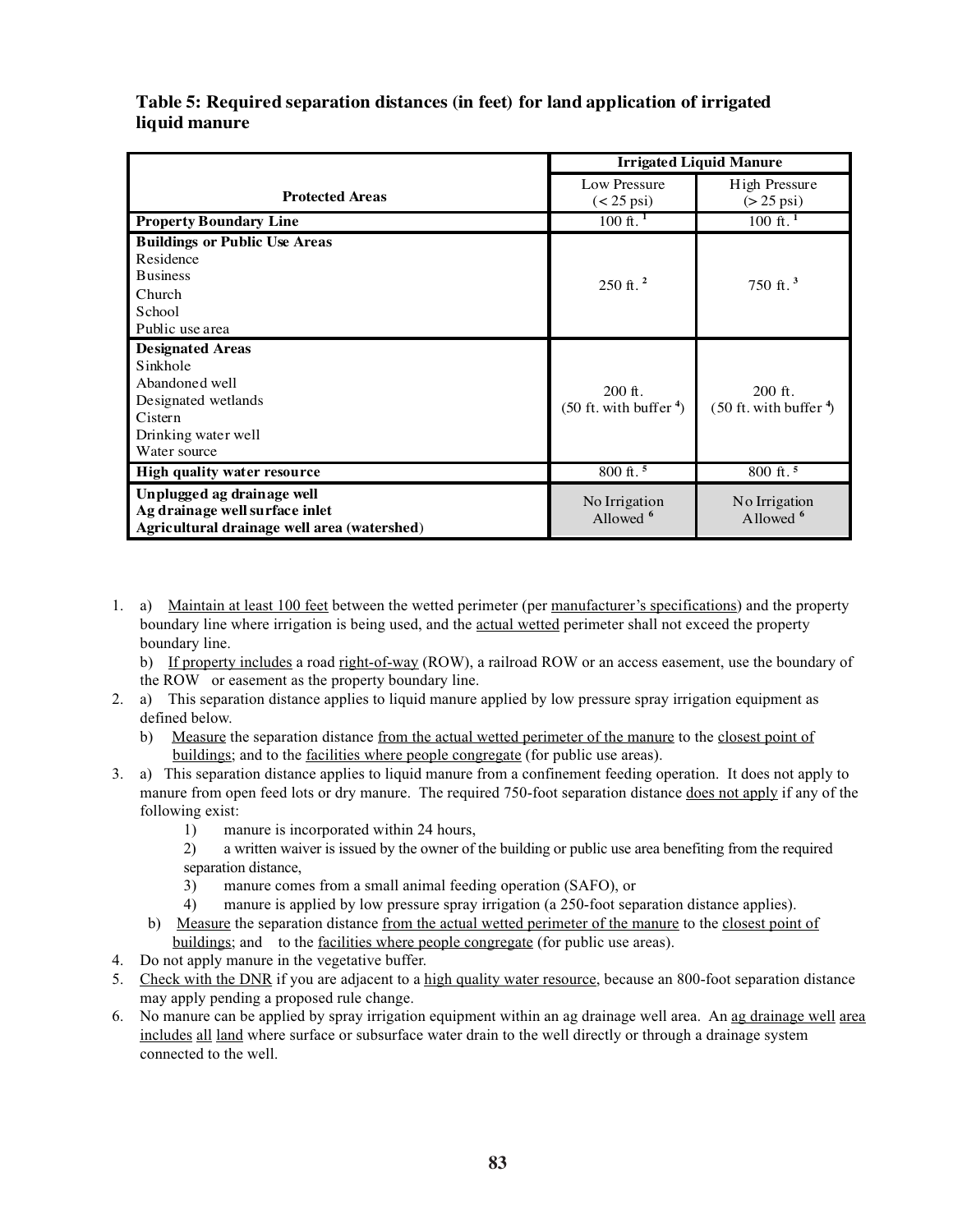|                                             | <b>Irrigated Liquid Manure</b>        |                                      |  |
|---------------------------------------------|---------------------------------------|--------------------------------------|--|
| <b>Protected Areas</b>                      | Low Pressure<br>$(< 25 \,\text{psi})$ | High Pressure<br>$(>25 \text{ psi})$ |  |
| <b>Property Boundary Line</b>               | $100 \text{ ft.}^1$                   | $100 \text{ ft.}^1$                  |  |
| <b>Buildings or Public Use Areas</b>        |                                       |                                      |  |
| Residence                                   |                                       |                                      |  |
| <b>Business</b>                             | $250$ ft. <sup>2</sup>                | 750 ft. <sup>3</sup>                 |  |
| Church                                      |                                       |                                      |  |
| School                                      |                                       |                                      |  |
| Public use area                             |                                       |                                      |  |
| <b>Designated Areas</b>                     |                                       |                                      |  |
| Sinkhole                                    |                                       |                                      |  |
| Abandoned well                              | $200$ ft.                             | $200$ ft.                            |  |
| Designated wetlands                         | $(50 \text{ ft. with buffer}^4)$      | $(50$ ft. with buffer $\frac{4}{3}$  |  |
| Cistern                                     |                                       |                                      |  |
| Drinking water well                         |                                       |                                      |  |
| Water source                                |                                       |                                      |  |
| High quality water resource                 | $800 \text{ ft.}^5$                   | 800 ft. <sup>5</sup>                 |  |
| Unplugged ag drainage well                  | No Irrigation                         | No Irrigation                        |  |
| Ag drainage well surface inlet              | Allowed <sup>6</sup>                  | Allowed <sup>6</sup>                 |  |
| Agricultural drainage well area (watershed) |                                       |                                      |  |

### **Table 5: Required separation distances (in feet) for land application of irrigated liquid manure**

- 1. a) Maintain at least 100 feet between the wetted perimeter (per manufacturer's specifications) and the property boundary line where irrigation is being used, and the actual wetted perimeter shall not exceed the property boundary line.
	- b) If property includes a road right-of-way (ROW), a railroad ROW or an access easement, use the boundary of the ROW or easement as the property boundary line.
- 2. a) This separation distance applies to liquid manure applied by low pressure spray irrigation equipment as defined below.
	- b) Measure the separation distance from the actual wetted perimeter of the manure to the closest point of buildings; and to the facilities where people congregate (for public use areas).
- 3. a) This separation distance applies to liquid manure from a confinement feeding operation. It does not apply to manure from open feed lots or dry manure. The required 750-foot separation distance does not apply if any of the following exist:
	- 1) manure is incorporated within 24 hours,
	- 2) a written waiver is issued by the owner of the building or public use area benefiting from the required separation distance,
	- 3) manure comes from a small animal feeding operation (SAFO), or
	- 4) manure is applied by low pressure spray irrigation (a 250-foot separation distance applies).
	- b) Measure the separation distance from the actual wetted perimeter of the manure to the closest point of buildings; and to the <u>facilities where people congregate</u> (for public use areas).
- 4. Do not apply manure in the vegetative buffer.
- 5. Check with the DNR if you are adjacent to a high quality water resource, because an 800-foot separation distance may apply pending a proposed rule change.
- 6. No manure can be applied by spray irrigation equipment within an ag drainage well area. An ag drainage well area includes all land where surface or subsurface water drain to the well directly or through a drainage system connected to the well.